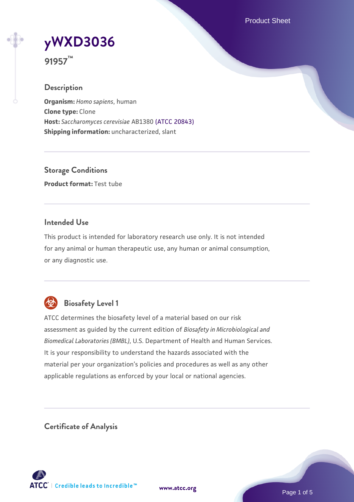Product Sheet

# **[yWXD3036](https://www.atcc.org/products/91957)**

**91957™**

## **Description**

**Organism:** *Homo sapiens*, human **Clone type:** Clone **Host:** *Saccharomyces cerevisiae* AB1380 [\(ATCC 20843\)](https://www.atcc.org/products/20843) **Shipping information:** uncharacterized, slant

**Storage Conditions Product format:** Test tube

## **Intended Use**

This product is intended for laboratory research use only. It is not intended for any animal or human therapeutic use, any human or animal consumption, or any diagnostic use.



# **Biosafety Level 1**

ATCC determines the biosafety level of a material based on our risk assessment as guided by the current edition of *Biosafety in Microbiological and Biomedical Laboratories (BMBL)*, U.S. Department of Health and Human Services. It is your responsibility to understand the hazards associated with the material per your organization's policies and procedures as well as any other applicable regulations as enforced by your local or national agencies.

**Certificate of Analysis**

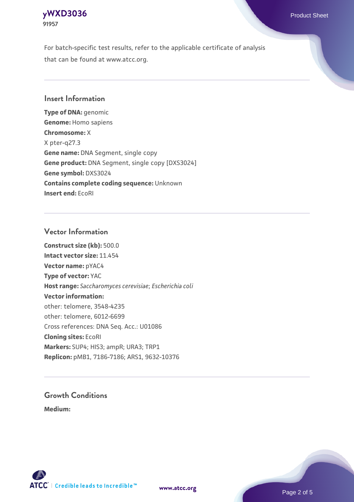## **[yWXD3036](https://www.atcc.org/products/91957)** Product Sheet **91957**

For batch-specific test results, refer to the applicable certificate of analysis that can be found at www.atcc.org.

## **Insert Information**

**Type of DNA:** genomic **Genome:** Homo sapiens **Chromosome:** X X pter-q27.3 **Gene name:** DNA Segment, single copy **Gene product:** DNA Segment, single copy [DXS3024] **Gene symbol:** DXS3024 **Contains complete coding sequence:** Unknown **Insert end:** EcoRI

## **Vector Information**

**Construct size (kb):** 500.0 **Intact vector size:** 11.454 **Vector name:** pYAC4 **Type of vector:** YAC **Host range:** *Saccharomyces cerevisiae*; *Escherichia coli* **Vector information:** other: telomere, 3548-4235 other: telomere, 6012-6699 Cross references: DNA Seq. Acc.: U01086 **Cloning sites:** EcoRI **Markers:** SUP4; HIS3; ampR; URA3; TRP1 **Replicon:** pMB1, 7186-7186; ARS1, 9632-10376

# **Growth Conditions**

**Medium:** 



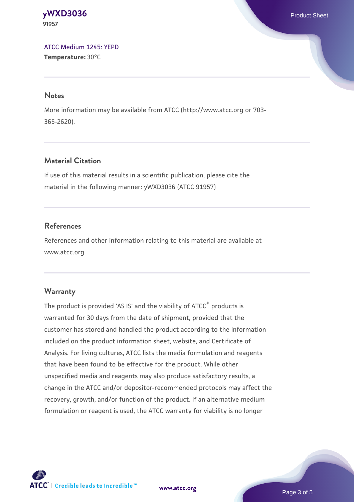#### **[yWXD3036](https://www.atcc.org/products/91957)** Product Sheet **91957**

[ATCC Medium 1245: YEPD](https://www.atcc.org/-/media/product-assets/documents/microbial-media-formulations/1/2/4/5/atcc-medium-1245.pdf?rev=705ca55d1b6f490a808a965d5c072196) **Temperature:** 30°C

#### **Notes**

More information may be available from ATCC (http://www.atcc.org or 703- 365-2620).

## **Material Citation**

If use of this material results in a scientific publication, please cite the material in the following manner: yWXD3036 (ATCC 91957)

## **References**

References and other information relating to this material are available at www.atcc.org.

## **Warranty**

The product is provided 'AS IS' and the viability of ATCC® products is warranted for 30 days from the date of shipment, provided that the customer has stored and handled the product according to the information included on the product information sheet, website, and Certificate of Analysis. For living cultures, ATCC lists the media formulation and reagents that have been found to be effective for the product. While other unspecified media and reagents may also produce satisfactory results, a change in the ATCC and/or depositor-recommended protocols may affect the recovery, growth, and/or function of the product. If an alternative medium formulation or reagent is used, the ATCC warranty for viability is no longer



**[www.atcc.org](http://www.atcc.org)**

Page 3 of 5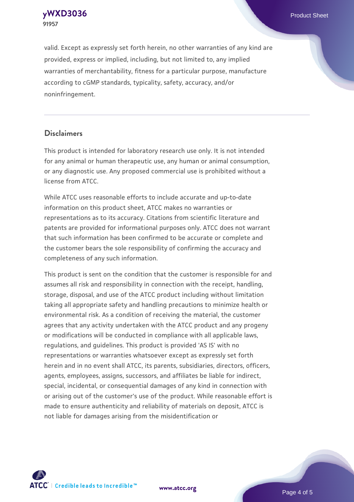**[yWXD3036](https://www.atcc.org/products/91957)** Product Sheet **91957**

valid. Except as expressly set forth herein, no other warranties of any kind are provided, express or implied, including, but not limited to, any implied warranties of merchantability, fitness for a particular purpose, manufacture according to cGMP standards, typicality, safety, accuracy, and/or noninfringement.

#### **Disclaimers**

This product is intended for laboratory research use only. It is not intended for any animal or human therapeutic use, any human or animal consumption, or any diagnostic use. Any proposed commercial use is prohibited without a license from ATCC.

While ATCC uses reasonable efforts to include accurate and up-to-date information on this product sheet, ATCC makes no warranties or representations as to its accuracy. Citations from scientific literature and patents are provided for informational purposes only. ATCC does not warrant that such information has been confirmed to be accurate or complete and the customer bears the sole responsibility of confirming the accuracy and completeness of any such information.

This product is sent on the condition that the customer is responsible for and assumes all risk and responsibility in connection with the receipt, handling, storage, disposal, and use of the ATCC product including without limitation taking all appropriate safety and handling precautions to minimize health or environmental risk. As a condition of receiving the material, the customer agrees that any activity undertaken with the ATCC product and any progeny or modifications will be conducted in compliance with all applicable laws, regulations, and guidelines. This product is provided 'AS IS' with no representations or warranties whatsoever except as expressly set forth herein and in no event shall ATCC, its parents, subsidiaries, directors, officers, agents, employees, assigns, successors, and affiliates be liable for indirect, special, incidental, or consequential damages of any kind in connection with or arising out of the customer's use of the product. While reasonable effort is made to ensure authenticity and reliability of materials on deposit, ATCC is not liable for damages arising from the misidentification or



**[www.atcc.org](http://www.atcc.org)**

Page 4 of 5